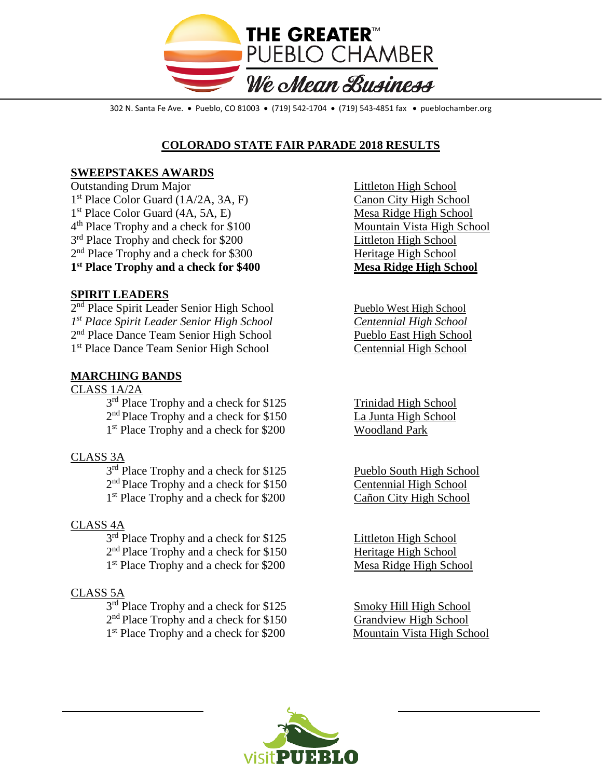

302 N. Santa Fe Ave. • Pueblo, CO 81003 • (719) 542-1704 • (719) 543-4851 fax • pueblochamber.org

# **COLORADO STATE FAIR PARADE 2018 RESULTS**

## **SWEEPSTAKES AWARDS**

Outstanding Drum Major Littleton High School 1<sup>st</sup> Place Color Guard (1A/2A, 3A, F) Canon City High School 1<sup>st</sup> Place Color Guard (4A, 5A, E) Mesa Ridge High School 4<sup>th</sup> Place Trophy and a check for \$100 Mountain Vista High School  $3<sup>rd</sup>$  Place Trophy and check for \$200 Littleton High School  $2<sup>nd</sup>$  Place Trophy and a check for \$300 Heritage High School **1st Place Trophy and a check for \$400 Mesa Ridge High School**

### **SPIRIT LEADERS**

2<sup>nd</sup> Place Spirit Leader Senior High School Pueblo West High School *1st Place Spirit Leader Senior High School Centennial High School* 2<sup>nd</sup> Place Dance Team Senior High School Pueblo East High School 1st Place Dance Team Senior High School Centennial High School

#### **MARCHING BANDS**

CLASS 1A/2A  $3<sup>rd</sup>$  Place Trophy and a check for \$125 Trinidad High School 2<sup>nd</sup> Place Trophy and a check for \$150 La Junta High School 1<sup>st</sup> Place Trophy and a check for \$200 Woodland Park

## CLASS 3A

3<sup>rd</sup> Place Trophy and a check for \$125 Pueblo South High School 2<sup>nd</sup> Place Trophy and a check for \$150 Centennial High School 1<sup>st</sup> Place Trophy and a check for \$200 Cañon City High School

#### CLASS 4A

3<sup>rd</sup> Place Trophy and a check for \$125 Littleton High School  $2<sup>nd</sup>$  Place Trophy and a check for \$150 Heritage High School 1<sup>st</sup> Place Trophy and a check for \$200 Mesa Ridge High School

## CLASS 5A

3<sup>rd</sup> Place Trophy and a check for \$125 Smoky Hill High School 2<sup>nd</sup> Place Trophy and a check for \$150 Grandview High School<br>
1<sup>st</sup> Place Trophy and a check for \$200 Mountain Vista High School  $1<sup>st</sup>$  Place Trophy and a check for \$200